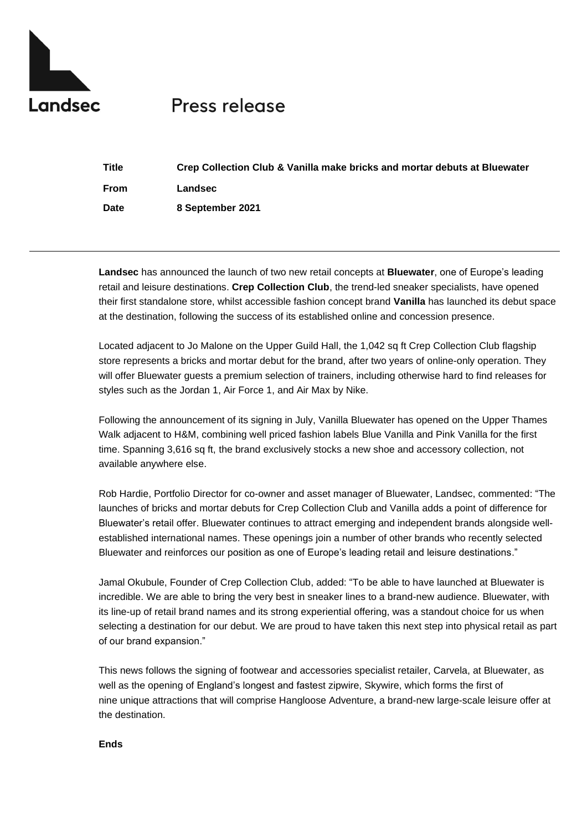

## **Press release**

| Title | Crep Collection Club & Vanilla make bricks and mortar debuts at Bluewater |
|-------|---------------------------------------------------------------------------|
| From  | Landsec                                                                   |
| Date  | 8 September 2021                                                          |

**Landsec** has announced the launch of two new retail concepts at **Bluewater**, one of Europe's leading retail and leisure destinations. **Crep Collection Club**, the trend-led sneaker specialists, have opened their first standalone store, whilst accessible fashion concept brand **Vanilla** has launched its debut space at the destination, following the success of its established online and concession presence.

Located adjacent to Jo Malone on the Upper Guild Hall, the 1,042 sq ft Crep Collection Club flagship store represents a bricks and mortar debut for the brand, after two years of online-only operation. They will offer Bluewater guests a premium selection of trainers, including otherwise hard to find releases for styles such as the Jordan 1, Air Force 1, and Air Max by Nike.

Following the announcement of its signing in July, Vanilla Bluewater has opened on the Upper Thames Walk adjacent to H&M, combining well priced fashion labels Blue Vanilla and Pink Vanilla for the first time. Spanning 3,616 sq ft, the brand exclusively stocks a new shoe and accessory collection, not available anywhere else.

Rob Hardie, Portfolio Director for co-owner and asset manager of Bluewater, Landsec, commented: "The launches of bricks and mortar debuts for Crep Collection Club and Vanilla adds a point of difference for Bluewater's retail offer. Bluewater continues to attract emerging and independent brands alongside wellestablished international names. These openings join a number of other brands who recently selected Bluewater and reinforces our position as one of Europe's leading retail and leisure destinations."

Jamal Okubule, Founder of Crep Collection Club, added: "To be able to have launched at Bluewater is incredible. We are able to bring the very best in sneaker lines to a brand-new audience. Bluewater, with its line-up of retail brand names and its strong experiential offering, was a standout choice for us when selecting a destination for our debut. We are proud to have taken this next step into physical retail as part of our brand expansion."

This news follows the signing of footwear and accessories specialist retailer, Carvela, at Bluewater, as well as the opening of England's longest and fastest zipwire, Skywire, which forms the first of nine unique attractions that will comprise Hangloose Adventure, a brand-new large-scale leisure offer at the destination.

## **Ends**